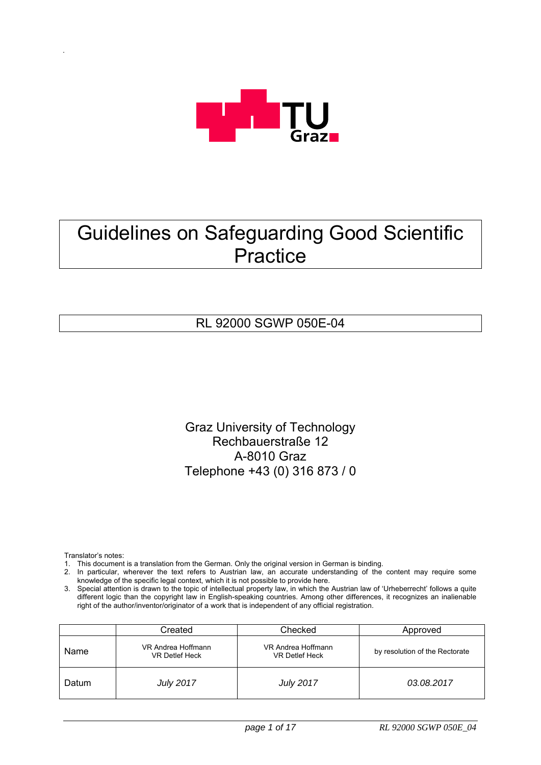

# Guidelines on Safeguarding Good Scientific **Practice**

# RL 92000 SGWP 050E-04

Graz University of Technology Rechbauerstraße 12 A-8010 Graz Telephone +43 (0) 316 873 / 0

Translator's notes:

- 1. This document is a translation from the German. Only the original version in German is binding.
- 2. In particular, wherever the text refers to Austrian law, an accurate understanding of the content may require some knowledge of the specific legal context, which it is not possible to provide here.
- 3. Special attention is drawn to the topic of intellectual property law, in which the Austrian law of 'Urheberrecht' follows a quite different logic than the copyright law in English-speaking countries. Among other differences, it recognizes an inalienable right of the author/inventor/originator of a work that is independent of any official registration.

|       | Created                              | Checked                                     | Approved                       |
|-------|--------------------------------------|---------------------------------------------|--------------------------------|
| Name  | VR Andrea Hoffmann<br>VR Detlef Heck | VR Andrea Hoffmann<br><b>VR Detlef Heck</b> | by resolution of the Rectorate |
| Datum | <b>July 2017</b>                     | <b>July 2017</b>                            | 03.08.2017                     |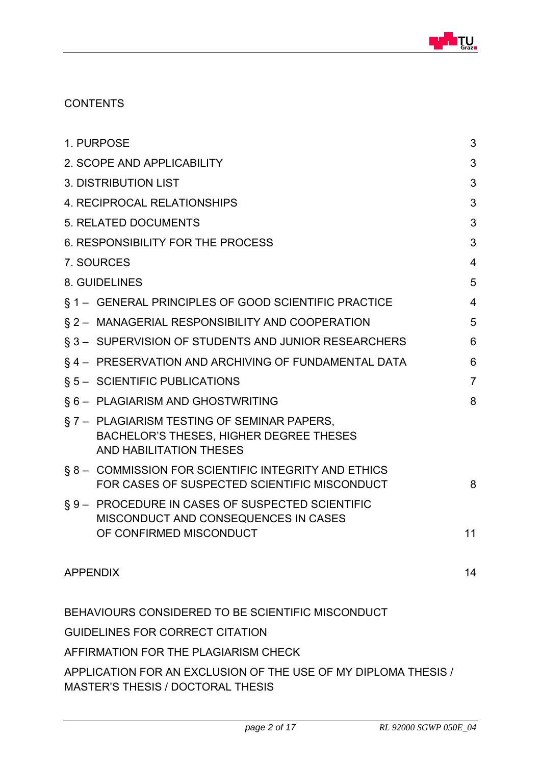

### **CONTENTS**

|                 | 1. PURPOSE                                                                                                              | 3              |  |
|-----------------|-------------------------------------------------------------------------------------------------------------------------|----------------|--|
|                 | 2. SCOPE AND APPLICABILITY                                                                                              | 3              |  |
|                 | <b>3. DISTRIBUTION LIST</b>                                                                                             | 3              |  |
|                 | 4. RECIPROCAL RELATIONSHIPS                                                                                             | 3              |  |
|                 | <b>5. RELATED DOCUMENTS</b>                                                                                             |                |  |
|                 | 6. RESPONSIBILITY FOR THE PROCESS                                                                                       | 3              |  |
|                 | 7. SOURCES                                                                                                              | 4              |  |
|                 | 8. GUIDELINES                                                                                                           | 5              |  |
|                 | § 1 - GENERAL PRINCIPLES OF GOOD SCIENTIFIC PRACTICE                                                                    | $\overline{4}$ |  |
|                 | § 2 - MANAGERIAL RESPONSIBILITY AND COOPERATION                                                                         | 5              |  |
|                 | § 3 - SUPERVISION OF STUDENTS AND JUNIOR RESEARCHERS                                                                    | 6              |  |
|                 | §4 - PRESERVATION AND ARCHIVING OF FUNDAMENTAL DATA                                                                     | 6              |  |
|                 | § 5 - SCIENTIFIC PUBLICATIONS                                                                                           | $\overline{7}$ |  |
|                 | § 6 - PLAGIARISM AND GHOSTWRITING                                                                                       | 8              |  |
|                 | §7 - PLAGIARISM TESTING OF SEMINAR PAPERS,<br><b>BACHELOR'S THESES, HIGHER DEGREE THESES</b><br>AND HABILITATION THESES |                |  |
|                 | § 8 - COMMISSION FOR SCIENTIFIC INTEGRITY AND ETHICS<br>FOR CASES OF SUSPECTED SCIENTIFIC MISCONDUCT                    | 8              |  |
|                 | §9 - PROCEDURE IN CASES OF SUSPECTED SCIENTIFIC<br>MISCONDUCT AND CONSEQUENCES IN CASES<br>OF CONFIRMED MISCONDUCT      | 11             |  |
| <b>APPENDIX</b> |                                                                                                                         | 14             |  |
|                 | BEHAVIOURS CONSIDERED TO BE SCIENTIFIC MISCONDUCT                                                                       |                |  |
|                 | <b>GUIDELINES FOR CORRECT CITATION</b>                                                                                  |                |  |
|                 | AFFIRMATION FOR THE PLAGIARISM CHECK                                                                                    |                |  |
|                 | APPLICATION FOR AN EXCLUSION OF THE USE OF MY DIPLOMA THESIS /                                                          |                |  |

MASTER'S THESIS / DOCTORAL THESIS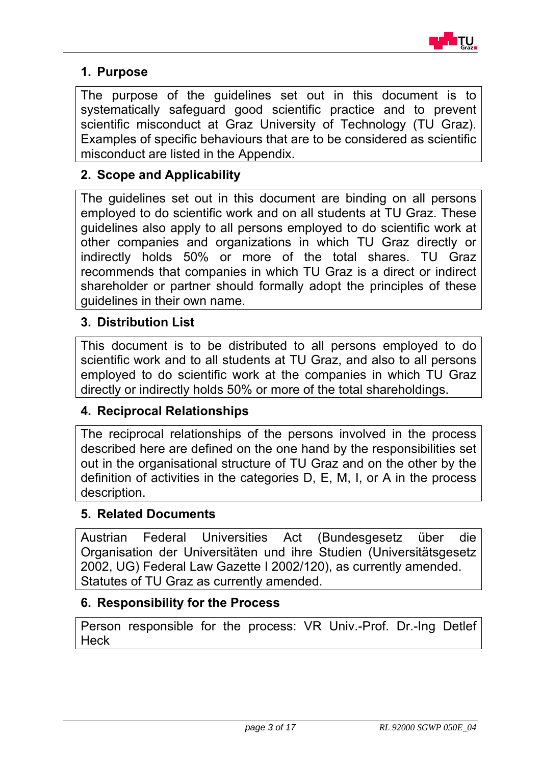

# **1. Purpose**

The purpose of the guidelines set out in this document is to systematically safeguard good scientific practice and to prevent scientific misconduct at Graz University of Technology (TU Graz). Examples of specific behaviours that are to be considered as scientific misconduct are listed in the Appendix.

# **2. Scope and Applicability**

The guidelines set out in this document are binding on all persons employed to do scientific work and on all students at TU Graz. These guidelines also apply to all persons employed to do scientific work at other companies and organizations in which TU Graz directly or indirectly holds 50% or more of the total shares. TU Graz recommends that companies in which TU Graz is a direct or indirect shareholder or partner should formally adopt the principles of these guidelines in their own name.

# **3. Distribution List**

This document is to be distributed to all persons employed to do scientific work and to all students at TU Graz, and also to all persons employed to do scientific work at the companies in which TU Graz directly or indirectly holds 50% or more of the total shareholdings.

# **4. Reciprocal Relationships**

The reciprocal relationships of the persons involved in the process described here are defined on the one hand by the responsibilities set out in the organisational structure of TU Graz and on the other by the definition of activities in the categories D, E, M, I, or A in the process description.

### **5. Related Documents**

Austrian Federal Universities Act (Bundesgesetz über die Organisation der Universitäten und ihre Studien (Universitätsgesetz 2002, UG) Federal Law Gazette I 2002/120), as currently amended. Statutes of TU Graz as currently amended.

### **6. Responsibility for the Process**

Person responsible for the process: VR Univ.-Prof. Dr.-Ing Detlef **Heck**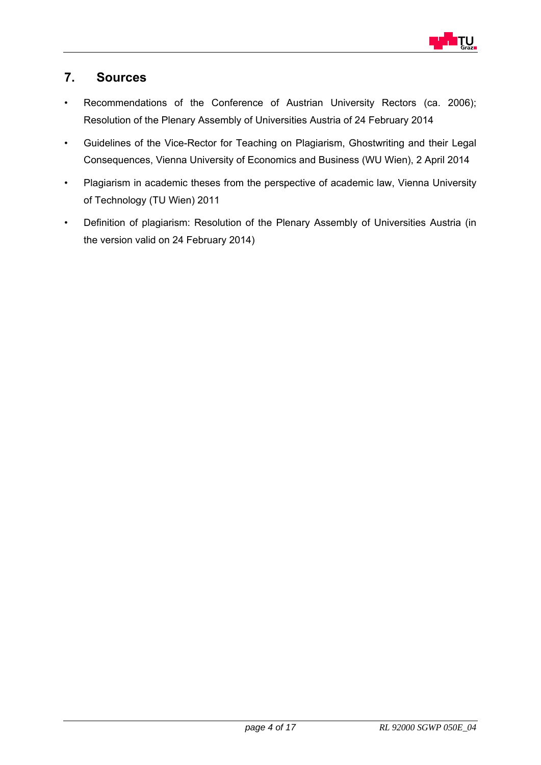

# **7. Sources**

- Recommendations of the Conference of Austrian University Rectors (ca. 2006); Resolution of the Plenary Assembly of Universities Austria of 24 February 2014
- Guidelines of the Vice-Rector for Teaching on Plagiarism, Ghostwriting and their Legal Consequences, Vienna University of Economics and Business (WU Wien), 2 April 2014
- Plagiarism in academic theses from the perspective of academic law, Vienna University of Technology (TU Wien) 2011
- Definition of plagiarism: Resolution of the Plenary Assembly of Universities Austria (in the version valid on 24 February 2014)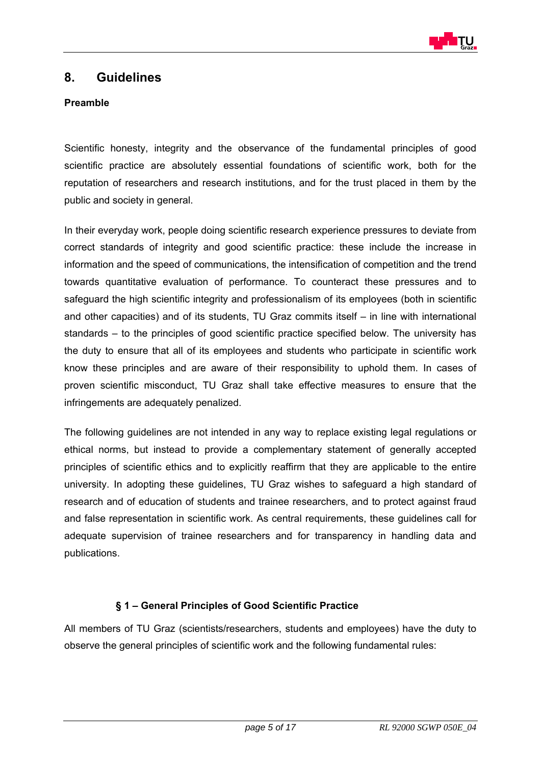

### **8. Guidelines**

### **Preamble**

Scientific honesty, integrity and the observance of the fundamental principles of good scientific practice are absolutely essential foundations of scientific work, both for the reputation of researchers and research institutions, and for the trust placed in them by the public and society in general.

In their everyday work, people doing scientific research experience pressures to deviate from correct standards of integrity and good scientific practice: these include the increase in information and the speed of communications, the intensification of competition and the trend towards quantitative evaluation of performance. To counteract these pressures and to safeguard the high scientific integrity and professionalism of its employees (both in scientific and other capacities) and of its students, TU Graz commits itself – in line with international standards – to the principles of good scientific practice specified below. The university has the duty to ensure that all of its employees and students who participate in scientific work know these principles and are aware of their responsibility to uphold them. In cases of proven scientific misconduct, TU Graz shall take effective measures to ensure that the infringements are adequately penalized.

The following guidelines are not intended in any way to replace existing legal regulations or ethical norms, but instead to provide a complementary statement of generally accepted principles of scientific ethics and to explicitly reaffirm that they are applicable to the entire university. In adopting these guidelines, TU Graz wishes to safeguard a high standard of research and of education of students and trainee researchers, and to protect against fraud and false representation in scientific work. As central requirements, these guidelines call for adequate supervision of trainee researchers and for transparency in handling data and publications.

### **§ 1 – General Principles of Good Scientific Practice**

All members of TU Graz (scientists/researchers, students and employees) have the duty to observe the general principles of scientific work and the following fundamental rules: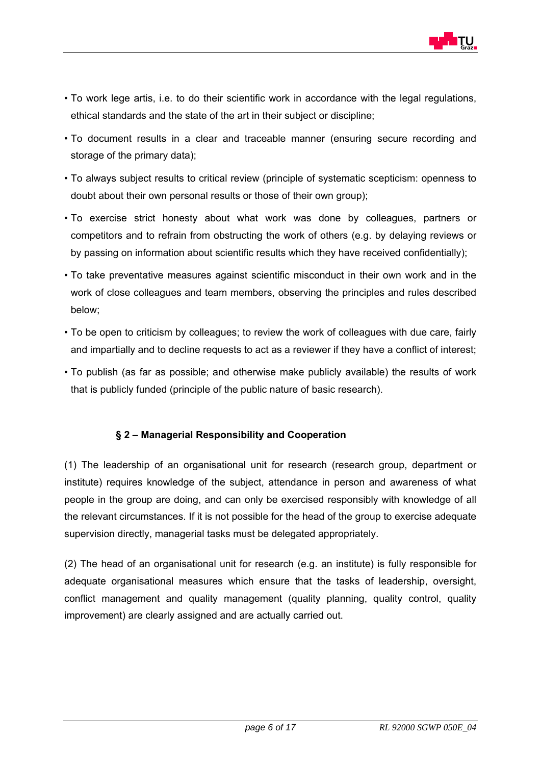

- To work lege artis, i.e. to do their scientific work in accordance with the legal regulations, ethical standards and the state of the art in their subject or discipline;
- To document results in a clear and traceable manner (ensuring secure recording and storage of the primary data);
- To always subject results to critical review (principle of systematic scepticism: openness to doubt about their own personal results or those of their own group);
- To exercise strict honesty about what work was done by colleagues, partners or competitors and to refrain from obstructing the work of others (e.g. by delaying reviews or by passing on information about scientific results which they have received confidentially);
- To take preventative measures against scientific misconduct in their own work and in the work of close colleagues and team members, observing the principles and rules described below;
- To be open to criticism by colleagues; to review the work of colleagues with due care, fairly and impartially and to decline requests to act as a reviewer if they have a conflict of interest;
- To publish (as far as possible; and otherwise make publicly available) the results of work that is publicly funded (principle of the public nature of basic research).

### **§ 2 – Managerial Responsibility and Cooperation**

(1) The leadership of an organisational unit for research (research group, department or institute) requires knowledge of the subject, attendance in person and awareness of what people in the group are doing, and can only be exercised responsibly with knowledge of all the relevant circumstances. If it is not possible for the head of the group to exercise adequate supervision directly, managerial tasks must be delegated appropriately.

(2) The head of an organisational unit for research (e.g. an institute) is fully responsible for adequate organisational measures which ensure that the tasks of leadership, oversight, conflict management and quality management (quality planning, quality control, quality improvement) are clearly assigned and are actually carried out.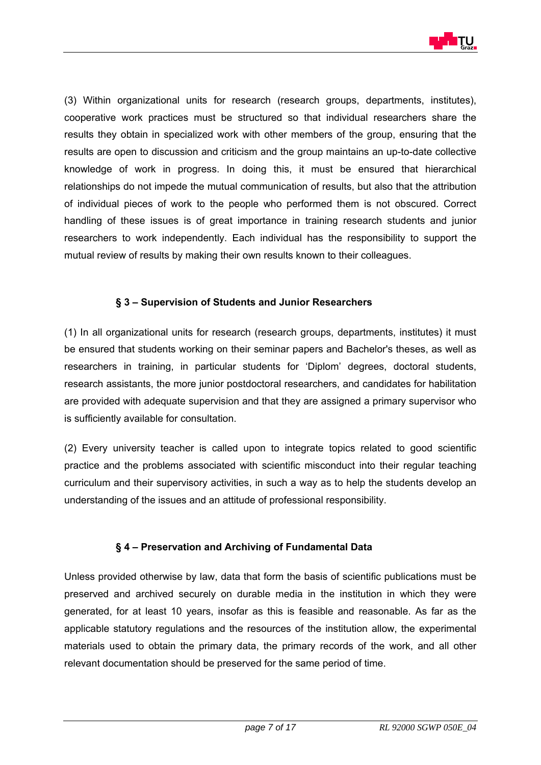

(3) Within organizational units for research (research groups, departments, institutes), cooperative work practices must be structured so that individual researchers share the results they obtain in specialized work with other members of the group, ensuring that the results are open to discussion and criticism and the group maintains an up-to-date collective knowledge of work in progress. In doing this, it must be ensured that hierarchical relationships do not impede the mutual communication of results, but also that the attribution of individual pieces of work to the people who performed them is not obscured. Correct handling of these issues is of great importance in training research students and junior researchers to work independently. Each individual has the responsibility to support the mutual review of results by making their own results known to their colleagues.

### **§ 3 – Supervision of Students and Junior Researchers**

(1) In all organizational units for research (research groups, departments, institutes) it must be ensured that students working on their seminar papers and Bachelor's theses, as well as researchers in training, in particular students for 'Diplom' degrees, doctoral students, research assistants, the more junior postdoctoral researchers, and candidates for habilitation are provided with adequate supervision and that they are assigned a primary supervisor who is sufficiently available for consultation.

(2) Every university teacher is called upon to integrate topics related to good scientific practice and the problems associated with scientific misconduct into their regular teaching curriculum and their supervisory activities, in such a way as to help the students develop an understanding of the issues and an attitude of professional responsibility.

#### **§ 4 – Preservation and Archiving of Fundamental Data**

Unless provided otherwise by law, data that form the basis of scientific publications must be preserved and archived securely on durable media in the institution in which they were generated, for at least 10 years, insofar as this is feasible and reasonable. As far as the applicable statutory regulations and the resources of the institution allow, the experimental materials used to obtain the primary data, the primary records of the work, and all other relevant documentation should be preserved for the same period of time.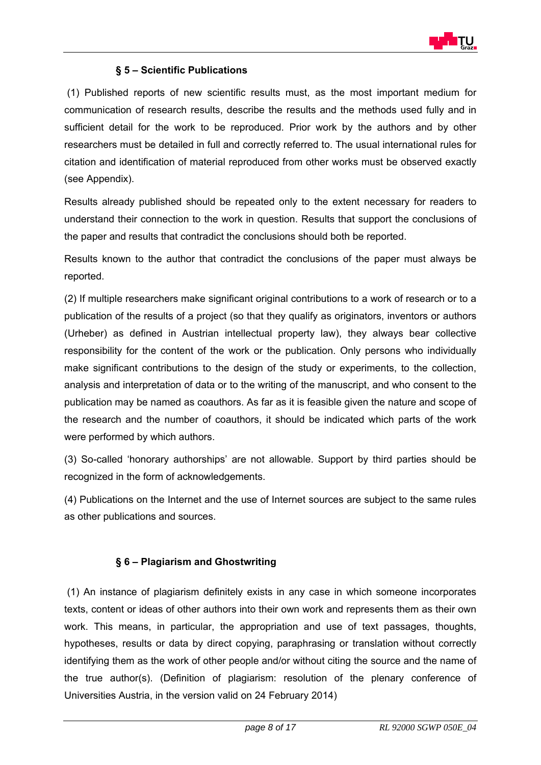

### **§ 5 – Scientific Publications**

 (1) Published reports of new scientific results must, as the most important medium for communication of research results, describe the results and the methods used fully and in sufficient detail for the work to be reproduced. Prior work by the authors and by other researchers must be detailed in full and correctly referred to. The usual international rules for citation and identification of material reproduced from other works must be observed exactly (see Appendix).

Results already published should be repeated only to the extent necessary for readers to understand their connection to the work in question. Results that support the conclusions of the paper and results that contradict the conclusions should both be reported.

Results known to the author that contradict the conclusions of the paper must always be reported.

(2) If multiple researchers make significant original contributions to a work of research or to a publication of the results of a project (so that they qualify as originators, inventors or authors (Urheber) as defined in Austrian intellectual property law), they always bear collective responsibility for the content of the work or the publication. Only persons who individually make significant contributions to the design of the study or experiments, to the collection, analysis and interpretation of data or to the writing of the manuscript, and who consent to the publication may be named as coauthors. As far as it is feasible given the nature and scope of the research and the number of coauthors, it should be indicated which parts of the work were performed by which authors.

(3) So-called 'honorary authorships' are not allowable. Support by third parties should be recognized in the form of acknowledgements.

(4) Publications on the Internet and the use of Internet sources are subject to the same rules as other publications and sources.

### **§ 6 – Plagiarism and Ghostwriting**

 (1) An instance of plagiarism definitely exists in any case in which someone incorporates texts, content or ideas of other authors into their own work and represents them as their own work. This means, in particular, the appropriation and use of text passages, thoughts, hypotheses, results or data by direct copying, paraphrasing or translation without correctly identifying them as the work of other people and/or without citing the source and the name of the true author(s). (Definition of plagiarism: resolution of the plenary conference of Universities Austria, in the version valid on 24 February 2014)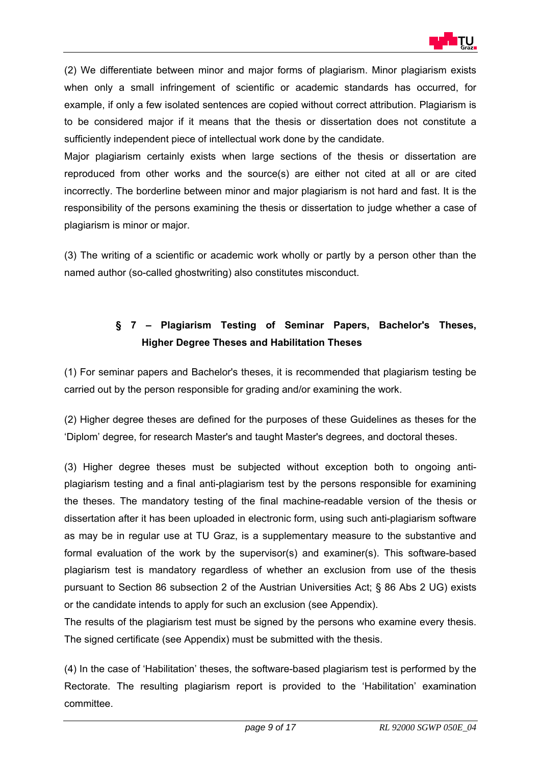

(2) We differentiate between minor and major forms of plagiarism. Minor plagiarism exists when only a small infringement of scientific or academic standards has occurred, for example, if only a few isolated sentences are copied without correct attribution. Plagiarism is to be considered major if it means that the thesis or dissertation does not constitute a sufficiently independent piece of intellectual work done by the candidate.

Major plagiarism certainly exists when large sections of the thesis or dissertation are reproduced from other works and the source(s) are either not cited at all or are cited incorrectly. The borderline between minor and major plagiarism is not hard and fast. It is the responsibility of the persons examining the thesis or dissertation to judge whether a case of plagiarism is minor or major.

(3) The writing of a scientific or academic work wholly or partly by a person other than the named author (so-called ghostwriting) also constitutes misconduct.

# **§ 7 – Plagiarism Testing of Seminar Papers, Bachelor's Theses, Higher Degree Theses and Habilitation Theses**

(1) For seminar papers and Bachelor's theses, it is recommended that plagiarism testing be carried out by the person responsible for grading and/or examining the work.

(2) Higher degree theses are defined for the purposes of these Guidelines as theses for the 'Diplom' degree, for research Master's and taught Master's degrees, and doctoral theses.

(3) Higher degree theses must be subjected without exception both to ongoing antiplagiarism testing and a final anti-plagiarism test by the persons responsible for examining the theses. The mandatory testing of the final machine-readable version of the thesis or dissertation after it has been uploaded in electronic form, using such anti-plagiarism software as may be in regular use at TU Graz, is a supplementary measure to the substantive and formal evaluation of the work by the supervisor(s) and examiner(s). This software-based plagiarism test is mandatory regardless of whether an exclusion from use of the thesis pursuant to Section 86 subsection 2 of the Austrian Universities Act; § 86 Abs 2 UG) exists or the candidate intends to apply for such an exclusion (see Appendix).

The results of the plagiarism test must be signed by the persons who examine every thesis. The signed certificate (see Appendix) must be submitted with the thesis.

(4) In the case of 'Habilitation' theses, the software-based plagiarism test is performed by the Rectorate. The resulting plagiarism report is provided to the 'Habilitation' examination committee.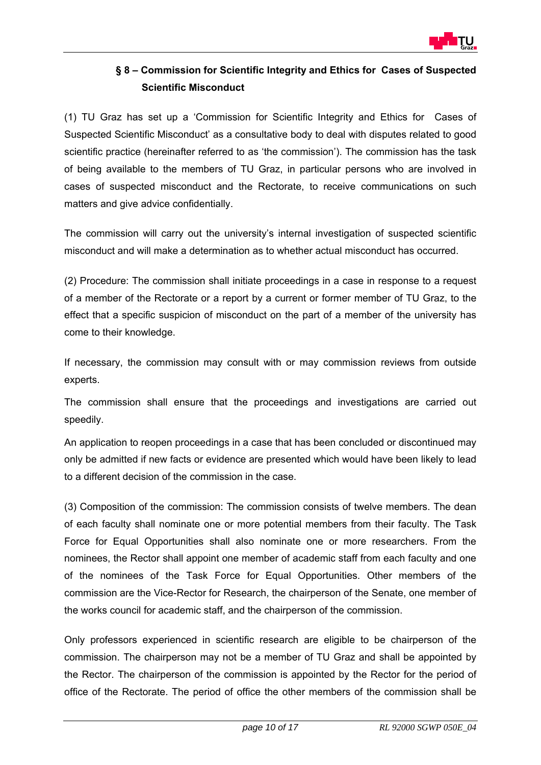

# **§ 8 – Commission for Scientific Integrity and Ethics for Cases of Suspected Scientific Misconduct**

(1) TU Graz has set up a 'Commission for Scientific Integrity and Ethics for Cases of Suspected Scientific Misconduct' as a consultative body to deal with disputes related to good scientific practice (hereinafter referred to as 'the commission'). The commission has the task of being available to the members of TU Graz, in particular persons who are involved in cases of suspected misconduct and the Rectorate, to receive communications on such matters and give advice confidentially.

The commission will carry out the university's internal investigation of suspected scientific misconduct and will make a determination as to whether actual misconduct has occurred.

(2) Procedure: The commission shall initiate proceedings in a case in response to a request of a member of the Rectorate or a report by a current or former member of TU Graz, to the effect that a specific suspicion of misconduct on the part of a member of the university has come to their knowledge.

If necessary, the commission may consult with or may commission reviews from outside experts.

The commission shall ensure that the proceedings and investigations are carried out speedily.

An application to reopen proceedings in a case that has been concluded or discontinued may only be admitted if new facts or evidence are presented which would have been likely to lead to a different decision of the commission in the case.

(3) Composition of the commission: The commission consists of twelve members. The dean of each faculty shall nominate one or more potential members from their faculty. The Task Force for Equal Opportunities shall also nominate one or more researchers. From the nominees, the Rector shall appoint one member of academic staff from each faculty and one of the nominees of the Task Force for Equal Opportunities. Other members of the commission are the Vice-Rector for Research, the chairperson of the Senate, one member of the works council for academic staff, and the chairperson of the commission.

Only professors experienced in scientific research are eligible to be chairperson of the commission. The chairperson may not be a member of TU Graz and shall be appointed by the Rector. The chairperson of the commission is appointed by the Rector for the period of office of the Rectorate. The period of office the other members of the commission shall be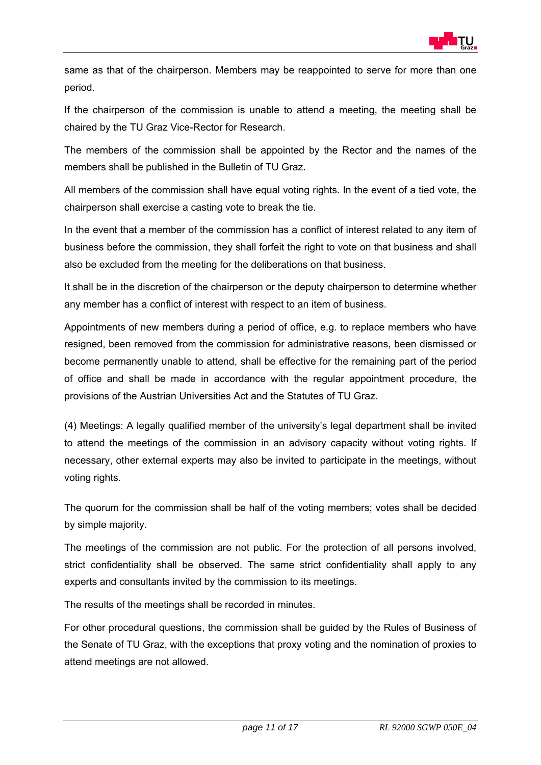

same as that of the chairperson. Members may be reappointed to serve for more than one period.

If the chairperson of the commission is unable to attend a meeting, the meeting shall be chaired by the TU Graz Vice-Rector for Research.

The members of the commission shall be appointed by the Rector and the names of the members shall be published in the Bulletin of TU Graz.

All members of the commission shall have equal voting rights. In the event of a tied vote, the chairperson shall exercise a casting vote to break the tie.

In the event that a member of the commission has a conflict of interest related to any item of business before the commission, they shall forfeit the right to vote on that business and shall also be excluded from the meeting for the deliberations on that business.

It shall be in the discretion of the chairperson or the deputy chairperson to determine whether any member has a conflict of interest with respect to an item of business.

Appointments of new members during a period of office, e.g. to replace members who have resigned, been removed from the commission for administrative reasons, been dismissed or become permanently unable to attend, shall be effective for the remaining part of the period of office and shall be made in accordance with the regular appointment procedure, the provisions of the Austrian Universities Act and the Statutes of TU Graz.

(4) Meetings: A legally qualified member of the university's legal department shall be invited to attend the meetings of the commission in an advisory capacity without voting rights. If necessary, other external experts may also be invited to participate in the meetings, without voting rights.

The quorum for the commission shall be half of the voting members; votes shall be decided by simple majority.

The meetings of the commission are not public. For the protection of all persons involved, strict confidentiality shall be observed. The same strict confidentiality shall apply to any experts and consultants invited by the commission to its meetings.

The results of the meetings shall be recorded in minutes.

For other procedural questions, the commission shall be guided by the Rules of Business of the Senate of TU Graz, with the exceptions that proxy voting and the nomination of proxies to attend meetings are not allowed.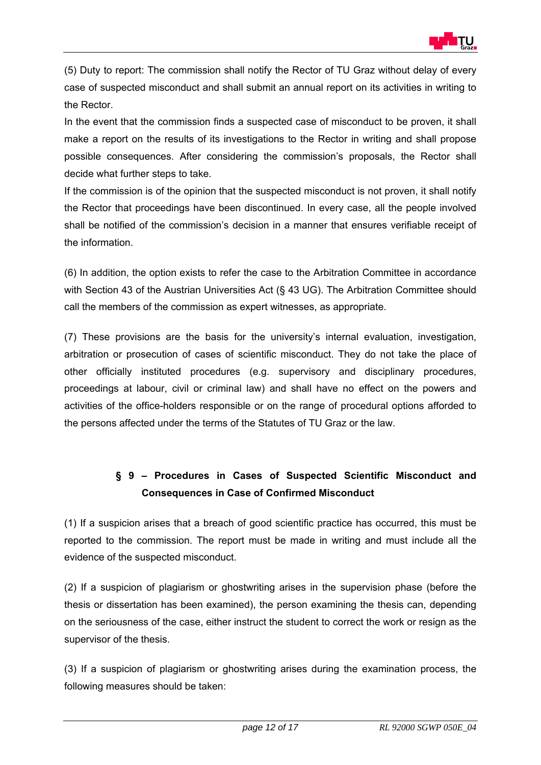

(5) Duty to report: The commission shall notify the Rector of TU Graz without delay of every case of suspected misconduct and shall submit an annual report on its activities in writing to the Rector.

In the event that the commission finds a suspected case of misconduct to be proven, it shall make a report on the results of its investigations to the Rector in writing and shall propose possible consequences. After considering the commission's proposals, the Rector shall decide what further steps to take.

If the commission is of the opinion that the suspected misconduct is not proven, it shall notify the Rector that proceedings have been discontinued. In every case, all the people involved shall be notified of the commission's decision in a manner that ensures verifiable receipt of the information.

(6) In addition, the option exists to refer the case to the Arbitration Committee in accordance with Section 43 of the Austrian Universities Act (§ 43 UG). The Arbitration Committee should call the members of the commission as expert witnesses, as appropriate.

(7) These provisions are the basis for the university's internal evaluation, investigation, arbitration or prosecution of cases of scientific misconduct. They do not take the place of other officially instituted procedures (e.g. supervisory and disciplinary procedures, proceedings at labour, civil or criminal law) and shall have no effect on the powers and activities of the office-holders responsible or on the range of procedural options afforded to the persons affected under the terms of the Statutes of TU Graz or the law.

# **§ 9 – Procedures in Cases of Suspected Scientific Misconduct and Consequences in Case of Confirmed Misconduct**

(1) If a suspicion arises that a breach of good scientific practice has occurred, this must be reported to the commission. The report must be made in writing and must include all the evidence of the suspected misconduct.

(2) If a suspicion of plagiarism or ghostwriting arises in the supervision phase (before the thesis or dissertation has been examined), the person examining the thesis can, depending on the seriousness of the case, either instruct the student to correct the work or resign as the supervisor of the thesis.

(3) If a suspicion of plagiarism or ghostwriting arises during the examination process, the following measures should be taken: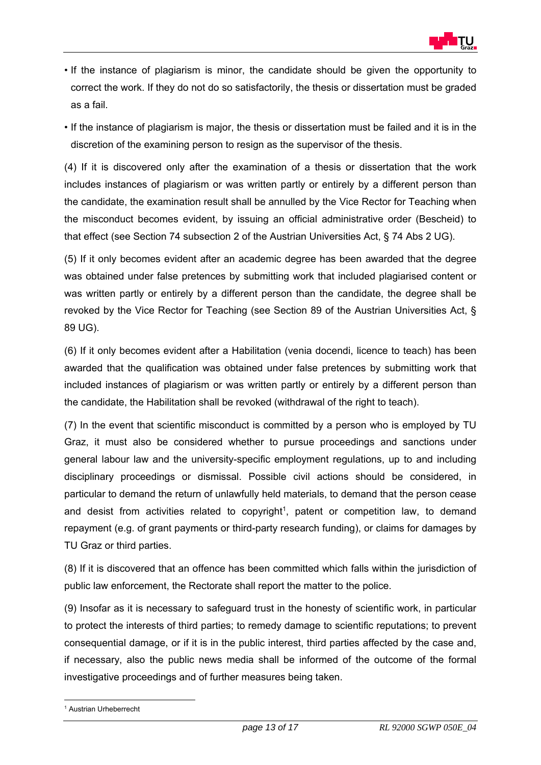

- If the instance of plagiarism is minor, the candidate should be given the opportunity to correct the work. If they do not do so satisfactorily, the thesis or dissertation must be graded as a fail.
- If the instance of plagiarism is major, the thesis or dissertation must be failed and it is in the discretion of the examining person to resign as the supervisor of the thesis.

(4) If it is discovered only after the examination of a thesis or dissertation that the work includes instances of plagiarism or was written partly or entirely by a different person than the candidate, the examination result shall be annulled by the Vice Rector for Teaching when the misconduct becomes evident, by issuing an official administrative order (Bescheid) to that effect (see Section 74 subsection 2 of the Austrian Universities Act, § 74 Abs 2 UG).

(5) If it only becomes evident after an academic degree has been awarded that the degree was obtained under false pretences by submitting work that included plagiarised content or was written partly or entirely by a different person than the candidate, the degree shall be revoked by the Vice Rector for Teaching (see Section 89 of the Austrian Universities Act, § 89 UG).

(6) If it only becomes evident after a Habilitation (venia docendi, licence to teach) has been awarded that the qualification was obtained under false pretences by submitting work that included instances of plagiarism or was written partly or entirely by a different person than the candidate, the Habilitation shall be revoked (withdrawal of the right to teach).

(7) In the event that scientific misconduct is committed by a person who is employed by TU Graz, it must also be considered whether to pursue proceedings and sanctions under general labour law and the university-specific employment regulations, up to and including disciplinary proceedings or dismissal. Possible civil actions should be considered, in particular to demand the return of unlawfully held materials, to demand that the person cease and desist from activities related to copyright<sup>1</sup>, patent or competition law, to demand repayment (e.g. of grant payments or third-party research funding), or claims for damages by TU Graz or third parties.

(8) If it is discovered that an offence has been committed which falls within the jurisdiction of public law enforcement, the Rectorate shall report the matter to the police.

(9) Insofar as it is necessary to safeguard trust in the honesty of scientific work, in particular to protect the interests of third parties; to remedy damage to scientific reputations; to prevent consequential damage, or if it is in the public interest, third parties affected by the case and, if necessary, also the public news media shall be informed of the outcome of the formal investigative proceedings and of further measures being taken.

<sup>1</sup> 1 Austrian Urheberrecht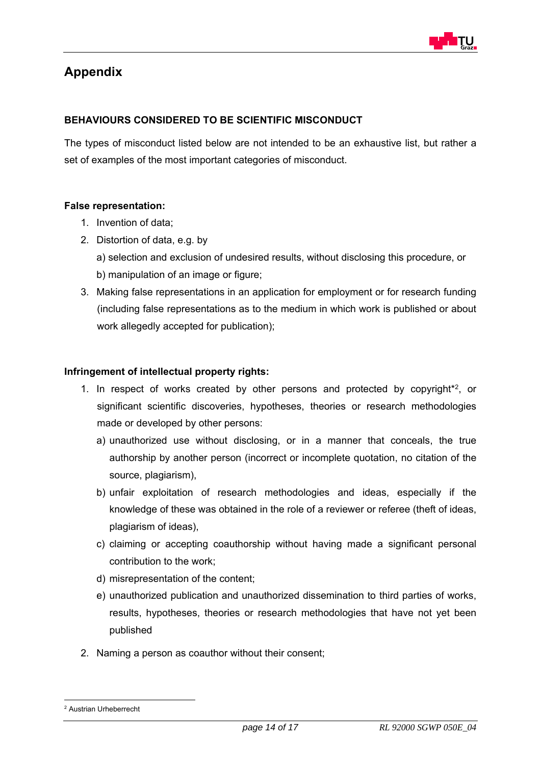

# **Appendix**

### **BEHAVIOURS CONSIDERED TO BE SCIENTIFIC MISCONDUCT**

The types of misconduct listed below are not intended to be an exhaustive list, but rather a set of examples of the most important categories of misconduct.

#### **False representation:**

- 1. Invention of data;
- 2. Distortion of data, e.g. by
	- a) selection and exclusion of undesired results, without disclosing this procedure, or b) manipulation of an image or figure;
- 3. Making false representations in an application for employment or for research funding (including false representations as to the medium in which work is published or about work allegedly accepted for publication);

#### **Infringement of intellectual property rights:**

- 1. In respect of works created by other persons and protected by copyright\*2, or significant scientific discoveries, hypotheses, theories or research methodologies made or developed by other persons:
	- a) unauthorized use without disclosing, or in a manner that conceals, the true authorship by another person (incorrect or incomplete quotation, no citation of the source, plagiarism),
	- b) unfair exploitation of research methodologies and ideas, especially if the knowledge of these was obtained in the role of a reviewer or referee (theft of ideas, plagiarism of ideas),
	- c) claiming or accepting coauthorship without having made a significant personal contribution to the work;
	- d) misrepresentation of the content;
	- e) unauthorized publication and unauthorized dissemination to third parties of works, results, hypotheses, theories or research methodologies that have not yet been published
- 2. Naming a person as coauthor without their consent;

1

<sup>2</sup> Austrian Urheberrecht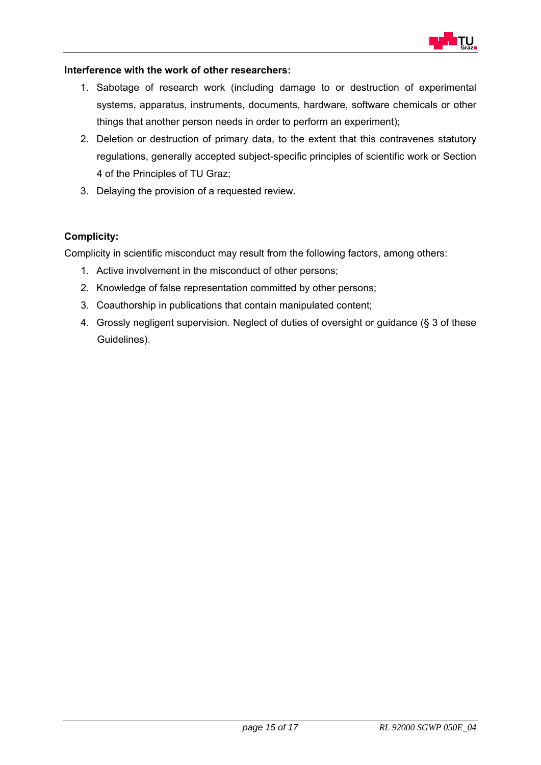

#### **Interference with the work of other researchers:**

- 1. Sabotage of research work (including damage to or destruction of experimental systems, apparatus, instruments, documents, hardware, software chemicals or other things that another person needs in order to perform an experiment);
- 2. Deletion or destruction of primary data, to the extent that this contravenes statutory regulations, generally accepted subject-specific principles of scientific work or Section 4 of the Principles of TU Graz;
- 3. Delaying the provision of a requested review.

### **Complicity:**

Complicity in scientific misconduct may result from the following factors, among others:

- 1. Active involvement in the misconduct of other persons;
- 2. Knowledge of false representation committed by other persons;
- 3. Coauthorship in publications that contain manipulated content;
- 4. Grossly negligent supervision. Neglect of duties of oversight or guidance (§ 3 of these Guidelines).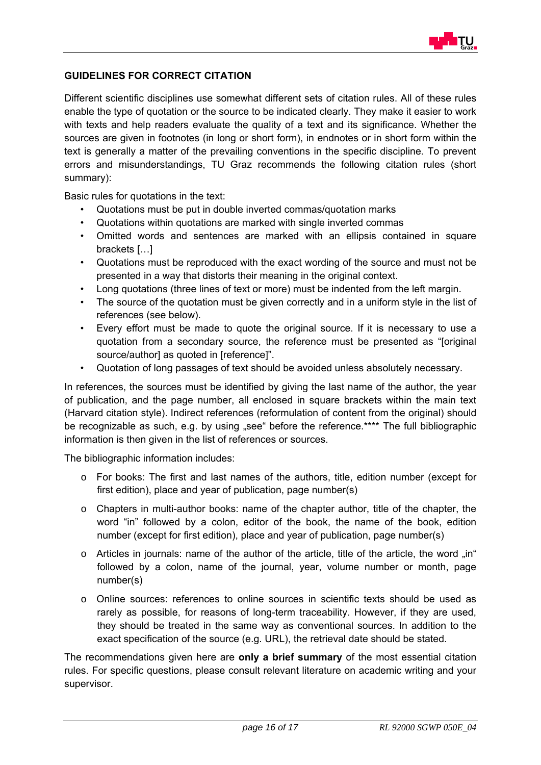

#### **GUIDELINES FOR CORRECT CITATION**

Different scientific disciplines use somewhat different sets of citation rules. All of these rules enable the type of quotation or the source to be indicated clearly. They make it easier to work with texts and help readers evaluate the quality of a text and its significance. Whether the sources are given in footnotes (in long or short form), in endnotes or in short form within the text is generally a matter of the prevailing conventions in the specific discipline. To prevent errors and misunderstandings, TU Graz recommends the following citation rules (short summary):

Basic rules for quotations in the text:

- Quotations must be put in double inverted commas/quotation marks
- Quotations within quotations are marked with single inverted commas
- Omitted words and sentences are marked with an ellipsis contained in square brackets […]
- Quotations must be reproduced with the exact wording of the source and must not be presented in a way that distorts their meaning in the original context.
- Long quotations (three lines of text or more) must be indented from the left margin.
- The source of the quotation must be given correctly and in a uniform style in the list of references (see below).
- Every effort must be made to quote the original source. If it is necessary to use a quotation from a secondary source, the reference must be presented as "[original source/author] as quoted in [reference]".
- Quotation of long passages of text should be avoided unless absolutely necessary.

In references, the sources must be identified by giving the last name of the author, the year of publication, and the page number, all enclosed in square brackets within the main text (Harvard citation style). Indirect references (reformulation of content from the original) should be recognizable as such, e.g. by using "see" before the reference.\*\*\*\* The full bibliographic information is then given in the list of references or sources.

The bibliographic information includes:

- o For books: The first and last names of the authors, title, edition number (except for first edition), place and year of publication, page number(s)
- o Chapters in multi-author books: name of the chapter author, title of the chapter, the word "in" followed by a colon, editor of the book, the name of the book, edition number (except for first edition), place and year of publication, page number(s)
- $\circ$  Articles in journals: name of the author of the article, title of the article, the word  $\sin^n$ followed by a colon, name of the journal, year, volume number or month, page number(s)
- o Online sources: references to online sources in scientific texts should be used as rarely as possible, for reasons of long-term traceability. However, if they are used, they should be treated in the same way as conventional sources. In addition to the exact specification of the source (e.g. URL), the retrieval date should be stated.

The recommendations given here are **only a brief summary** of the most essential citation rules. For specific questions, please consult relevant literature on academic writing and your supervisor.